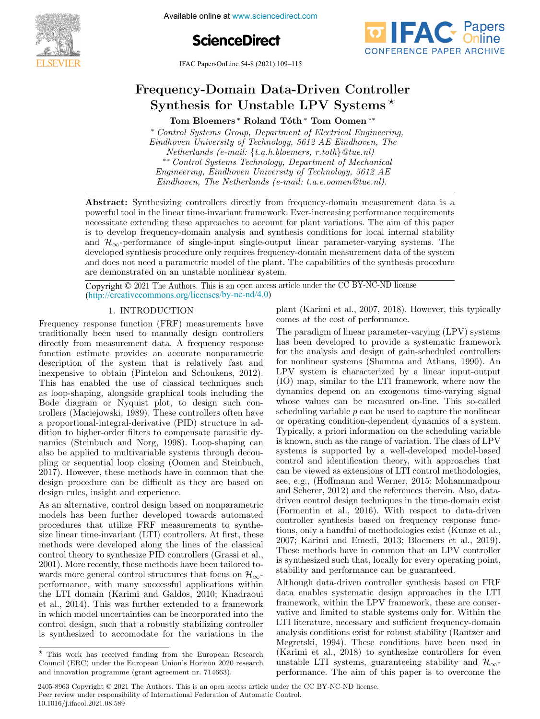

Available online at www.sciencedirect.com





IFAC PapersOnLine 54-8 (2021) 109–115 FRC LapusOffline  $J4-0$  (2021)  $109-115$ 

#### Frequency-Domain Data-Driven Controller  $T_{\rm r}$  and  $T_{\rm r}$  are  $T_{\rm r}$   $T_{\rm r}$   $T_{\rm r}$   $T_{\rm r}$   $T_{\rm r}$ Frequency-Domain Data-Driven Controller equency-Domain Data-Driven Control<br>Synthesis for Unstable LPV Systems<sup>∗</sup>  $_{\rm synthesis}$  for Unstable LPV Systems  $^{\star}$

Tom Bloemers <sup>∗</sup> Roland Tóth <sup>∗</sup> Tom Oomen <sup>∗∗</sup>

∗ Control Systems Group, Department of Electrical Engineering, ∗ Control Systems Group, Department of Electrical Engineering, Tom Bloemers ∗ Roland T´oth ∗ Tom Oomen ∗∗ \* Control Systems Group, Department of Electrical Engineering,<br>Eindhoven University of Technology, 5612 AE Eindhoven, The Netherlands (e-mail: {t.a.h.bloemers, r.toth}@tue.nl)<br>\*\* Control Systems Technology, Department of Mechanical<br>ngineering, Eindhoven University of Technology, 5612 AE \*\* Control Systems Technology, Department of Mechanical<br>Engineering, Eindhoven University of Technology, 5612 AE<br>Eindhoven. The Netherlands (e-mail: t-a-a-aman@twa-nl) Eindhoven, The Netherlands (e-mail: t.a.e.oomen@tue.nl). Netherlands (e-mail: {t.a.h.bloemers, r.toth} @tue.nl)<br>\*\* Control Systems Technology, Department of Mechanical Eindhoven, The Netherlands (e-mail: t.a.e.oomen@tue.nl). Eindhoven University of Technology, 5612 AE Eindhoven, The<br>Netherlands (e-mail: {t.a.h.bloemers, r.toth}@tue.nl)<br>\*\* Control Systems Technology, Department of Mechanical<br>Engineering, Eindhoven University of Technology, 561  $\mathcal{E}^*$  Contral Suctome Technology, Department of Mechanical

powerful tool in the linear time-invariant framework. Ever-increasing performance requirements powerful toom in the linear time-invariant mainework. Ever-increasing performance requirements<br>necessitate extending these approaches to account for plant variations. The aim of this paper necessitate extending these approaches to account for plant variations. The aim of this paper<br>is to develop frequency-domain analysis and synthesis conditions for local internal stability is to develop nequency-domain analysis and synthesis conditions for local internal stability<br>and  $\mathcal{H}_{\infty}$ -performance of single-input single-output linear parameter-varying systems. The developed synthesis procedure only requires frequency-domain measurement data of the systems. The  $\alpha$  developed synthesis procedure only requires requires  $\alpha$  only requires from and decay at the system of the system of the system of the system of the system of the system of the system of the system of the system of developed synthesis procedure omly requires requency-domain measurement data of the system<br>and does not need a parametric model of the plant. The capabilities of the synthesis procedure<br>are demonstrated on an unstable popl and door not held a parametric model of the plant. The expansions of the synchesis procedure<br>the demonstrated on an unstable nonlinear system. Eindhoven, The Netherlands (e-mail: t.a.e.oomen@tue.nl). is to develop frequency-domain analysis and synthesis conditions for local internal stability<br>and  $\mathcal{H}_{\infty}$ -performance of single-input single-output linear parameter-varying systems. The<br>developed synthesis procedure are demonstrated on an unstable nonlinear system.<br>  $\hfill\blacksquare$ Abstract: Synthesizing controllers directly from frequency-domain measurement data is a

Eindhoven, The Netherlands (e-mail: t.a.e.oomen@tue.nl).

Copyright © 2021 The Authors. This is an open access article under the CC BY-NC-ND license Copyright  $\ge 2021$  The Hambles. This is an open access and (http://creativecommons.org/licenses/by-nc-nd/4.0) Copyright  $\odot$  2021 The Authors. This is an open access article under the CC BY-NC-ND license

# 1. INTRODUCTION

Frequency response function (FRF) measurements have Frequency response function (FRF) measurements have Frequency response function (FRF) measurements have<br>traditionally been used to manually design controllers<br>directly from measurement data. A frequency response<br>function estimate provides an accurate nonparametric traditionally been used to manually design controllers<br>directly from measurement data. A frequency response<br>function estimate provides an accurate nonparametric<br>description of the system that is relatively fast and directly from measurement data. A frequency response function estimate provides an accurate nonparametric description of the system that is relatively fast and inexpensive to obtain (Pintelon and Schoukens, 2012). This has enabled the use of classical techniques such as loop-shaping, alongside graphical tools including the as loop-shaping, alongside graphical cools including the<br>Bode diagram or Nyquist plot, to design such conbode diagram of Tyyquist piot, to design such con-<br>trollers (Maciejowski, 1989). These controllers often have a proportional-integral-derivative (PID) structure in ad- $\alpha$  proportional-integral-derivative  $(1 \text{ } \text{I})$  structure in addition to higher-order filters to compensate parasitic dymanics (Steinbuch and Norg, 1998). Loop-shaping can<br>also be applied to multipriable systems through doceu rannes (Stembuch and Norg, 1990). Loop-shaping can<br>also be applied to multivariable systems through decoualso be applied to multivariable systems through decou-<br>pling or sequential loop closing (Oomen and Steinbuch, philip of sequential loop closing (Colleri and Stellbuch,<br>2017). However, these methods have in common that the design procedure can be difficult as they are based on design procedure can be difficult as they are based on 2017). However, these methods have in common that the 2017). However, these methods have in common that the design rules, insight and experience. design rules, insight and experience. design procedure can be difficult as they are based on design procedure can be difficult as they are based on design rules, insight and experience. design rules, insight and experience. pling or sequential loop closing (Oomen and Steinbuch, 2017). However, these methods have in common that the design procedure can be difficult as they are based on design rules, insight and experience. design procedure can be difficult as they are based on

As an alternative, control design based on nonparametric As an attendance, control design based on nonparametric<br>models has been further developed towards automated As an alternative, control design based on nonparametric<br>
As an alternative, control design based on nonparametric<br>
models has been further developed towards automated<br>
procedures that utilize FRF measurements to synthe-<br> procedures that utilize FRF measurements to synthesize linear time-invariant (LTI) controllers. At first, these mean time-invariant (ETT) controllers. At first, these<br>methods were developed along the lines of the classical<br>control theory to synthesize PID controllers (Grassi et al.,<br>2001). More recently, these methods have been tail methods were developed along the lines of the classical<br>control theory to synthesize PID controllers (Grassi et al., control theory to synthesize PID controllers (Grassi et al., 2001). More recently, these methods have been tailored towards more general control structures that focus on  $\mathcal{H}_{\infty}$ - $2001$ . More recently, these methods have been callored to-<br>wards more general control structures that focus on  $\mathcal{H}_{\infty}$ waters into general control structures that focus on  $n_{\infty}$ -<br>performance, with many successful applications within the LTI domain (Karimi and Galdos, 2010; Khadraoui the LTI domain (Karimi and Galdos, 2010; Khadraoui performance, with many successful applications within performance, with many successful applications within the LTI domain (Karimi and Galdos, 2010; Khadraoui<br>et al., 2014). This was further extended to a framework in which model uncertainties can be incorporated into the in which model uncertainties can be incorporated into the<br>control design, such that a robustly stabilizing controller is synthesized to accomodate for the variations in the is synthesized to accomodate for the variations in the the LTI domain (Karimi and Galdos, 2010; Khadraoui et al., 2014). This was further extended to a framework is synthesized to accomodate for the variations in the in which model uncertainties can be incorporated into thecontrol design, such that a robustly stabilizing controlleris synthesized to accomodate for the variations in the performance, with many successful applications within<br>the LTI domain (Karimi and Galdos, 2010; Khadraoui<br>et al., 2014). This was further extended to a framework plant (Karimi et al., 2007, 2018). However, this typically comes at the cost of performance. plant (Karimi et al., 2007, 2018). However, this typically comes at the cost of performance.

The paradigm of linear parameter-varying (LPV) systems The paradigm of mean parameter varying  $(\Delta r \vee \beta)$  given<br>that been developed to provide a systematic framework<br>for the analysis and design of gain scheduled controllers for the analysis and design of gain-scheduled controllers for nonlinear systems (Shamma and Athans, 1990). An<br>I PV systems is characterized by a linear, 1990). An LPV system is characterized by a linear input-output (IO) map, similar to the LTI framework, where now the dynamics depend on an exogenous time-varying signal whose values can be measured on-line. This so-called scheduling variable  $p$  can be used to capture the nonlinear or operating condition-dependent dynamics of a system. Typically, a priori information on the scheduling variable is known, such as the range of variation. The class of LPV systems is supported by a well-developed model-based control and identification theory, with approaches that can be viewed as extensions of LTI control methodologies, see, e.g., (Hoffmann and Werner, 2015; Mohammadpour and Scherer, 2012) and the references therein. Also, datadriven control design techniques in the time-domain exist and Scherer, 2012) and the references therein. Also, data-<br>driven control design techniques in the time-domain exist<br>(Formentin et al., 2016). With respect to data-driven controller synthesis based on frequency response functions, only a handful of methodologies exist (Kunze et al., 2007; Karimi and Emedi, 2013; Bloemers et al., 2019). These methods have in common that an LPV controller is synthesized such that, locally for every operating point, stability and performance can be guaranteed. as synthesized such that, locally for every operating point,<br>stability and performance can be guaranteed. is known, such as the range of variation. The class of LPV<br>systems is supported by a well-developed model-based<br>control and identification theory, with approaches that<br>can be viewed as extensions of LTI control methodologi tions, only a handful of methodologies exist (Kunze et al., 2007; Karimi and Emedi, 2013; Bloemers et al., 2019).<br>These methods have in common that an LPV controller Frequency respect In TRTIODUCTION<br>
In plant (Karin et al., 2007, 2018). However, this typically<br>Prequency respects function (FRI) monourceutes have comes at the cent of performance.<br>
The paradigm controls The paradigm of systems is supported by a well-developed model-based control and identification theory, with approaches that 2007; Karimi and Emedi, 2013; Bloemers et al., 2019).<br>2007; Karimi and Emedi, 2013; Bloemers et al., 2019).<br>These methods have in common that an LPV controller<br>is synthesized such that, locally for every operating point,<br>s

Although data-driven controller synthesis based on FRF data enables systematic design approaches in the LTI  $\frac{1}{2}$  framework, within the LPV framework, these are conserved. vative and limited to stable systems only for. Within the LTI literature, necessary and sufficient frequency-domain analysis conditions exist for robust stability (Rantzer and<br>Mografski, 1004). These conditions have been used in Megretski, 1994). These conditions have been used in<br>(Karimi et al., 2018) to synthesize controllers for even  $(Karimi et al., 2018)$  to synthesize controllers for even<br>were the direct state of the synthesize controllers for even unstable LTI systems, guaranteeing stability and  $\mathcal{H}_{\infty}$ performance. The aim of this paper is to overcome the

 $\star$  This work has received funding from the European Research<br>Causeil (ERC) under the European Heisele Heritan 2020 recease Council (ERC) under the European Union's Horizon 2020 research<br>and innovation programme (grant agreement nr. 714663). equation (ERC) under the European Union's Horizon 2020 research<br>and innovation programme (grant agreement nr. 714663). and innovation programme (grant agreement nr. 714663).  $T$   $\overline{r}$  and  $\overline{r}$  is the European Research funding funding funding  $\overline{r}$ 

<sup>2405-8963</sup> Copyright © 2021 The Authors. This is an open access article under the CC BY-NC-ND license. Peer review under responsibility of International Federation of Automatic Control. 10.1016/j.ifacol.2021.08.589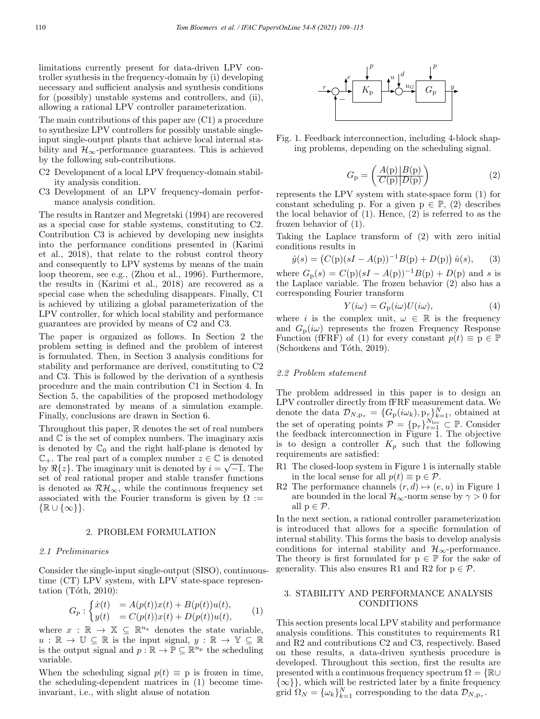limitations currently present for data-driven LPV controller synthesis in the frequency-domain by (i) developing necessary and sufficient analysis and synthesis conditions for (possibly) unstable systems and controllers, and (ii), allowing a rational LPV controller parameterization.

The main contributions of this paper are (C1) a procedure to synthesize LPV controllers for possibly unstable singleinput single-output plants that achieve local internal stability and  $\mathcal{H}_{\infty}$ -performance guarantees. This is achieved by the following sub-contributions.

- C2 Development of a local LPV frequency-domain stability analysis condition.
- C3 Development of an LPV frequency-domain performance analysis condition.

The results in Rantzer and Megretski (1994) are recovered as a special case for stable systems, constituting to C2. Contribution C3 is achieved by developing new insights into the performance conditions presented in (Karimi et al., 2018), that relate to the robust control theory and consequently to LPV systems by means of the main loop theorem, see e.g., (Zhou et al., 1996). Furthermore, the results in (Karimi et al., 2018) are recovered as a special case when the scheduling disappears. Finally, C1 is achieved by utilizing a global parameterization of the LPV controller, for which local stability and performance guarantees are provided by means of C2 and C3.

The paper is organized as follows. In Section 2 the problem setting is defined and the problem of interest is formulated. Then, in Section 3 analysis conditions for stability and performance are derived, constituting to C2 and C3. This is followed by the derivation of a synthesis procedure and the main contribution C1 in Section 4. In Section 5, the capabilities of the proposed methodology are demonstrated by means of a simulation example. Finally, conclusions are drawn in Section 6.

Throughout this paper, R denotes the set of real numbers and  $\mathbb C$  is the set of complex numbers. The imaginary axis is denoted by  $\mathbb{C}_0$  and the right half-plane is denoted by  $\mathbb{C}_+$ . The real part of a complex number  $z \in \mathbb{C}$  is denoted by  $\Re\{z\}$ . The imaginary unit is denoted by  $i = \sqrt{-1}$ . The set of real rational proper and stable transfer functions is denoted as  $\mathcal{RH}_{\infty}$ , while the continuous frequency set associated with the Fourier transform is given by  $\Omega :=$  $\{\mathbb{R}\cup\{\infty\}\}.$ 

#### 2. PROBLEM FORMULATION

#### 2.1 Preliminaries

Consider the single-input single-output (SISO), continuoustime (CT) LPV system, with LPV state-space representation (Tóth,  $2010$ ):

$$
G_p: \begin{cases} \dot{x}(t) & = A(p(t))x(t) + B(p(t))u(t), \\ y(t) & = C(p(t))x(t) + D(p(t))u(t), \end{cases} (1)
$$

where  $x : \mathbb{R} \to \mathbb{X} \subseteq \mathbb{R}^{n_x}$  denotes the state variable,  $u : \mathbb{R} \to \mathbb{U} \subseteq \mathbb{R}$  is the input signal,  $y : \mathbb{R} \to \mathbb{Y} \subseteq \mathbb{R}$ is the output signal and  $p : \mathbb{R} \to \mathbb{P} \subseteq \mathbb{R}^{n_p}$  the scheduling variable.

When the scheduling signal  $p(t) \equiv p$  is frozen in time, the scheduling-dependent matrices in (1) become timeinvariant, i.e., with slight abuse of notation



Fig. 1. Feedback interconnection, including 4-block shaping problems, depending on the scheduling signal.

$$
G_{\mathbf{p}} = \left(\frac{A(\mathbf{p})|B(\mathbf{p})}{C(\mathbf{p})|D(\mathbf{p})}\right) \tag{2}
$$

represents the LPV system with state-space form (1) for constant scheduling p. For a given  $p \in \mathbb{P}$ , (2) describes the local behavior of (1). Hence, (2) is referred to as the frozen behavior of (1).

Taking the Laplace transform of (2) with zero initial conditions results in

$$
\hat{y}(s) = (C(p)(sI - A(p))^{-1}B(p) + D(p)) \hat{u}(s), \qquad (3)
$$

where  $G_{\rm p}(s) = C(p)(sI - A(p))^{-1}B(p) + D(p)$  and s is the Laplace variable. The frozen behavior (2) also has a corresponding Fourier transform

$$
Y(i\omega) = G_{\mathcal{P}}(i\omega)U(i\omega),\tag{4}
$$

where i is the complex unit,  $\omega \in \mathbb{R}$  is the frequency and  $G_p(i\omega)$  represents the frozen Frequency Response Function (fFRF) of (1) for every constant  $p(t) \equiv p \in \mathbb{P}$ (Schoukens and Tóth, 2019).

#### 2.2 Problem statement

The problem addressed in this paper is to design an LPV controller directly from fFRF measurement data. We denote the data  $\mathcal{D}_{N,p_{\tau}} = \{G_p(i\omega_k), p_{\tau}\}_{k=1}^N$ , obtained at the set of operating points  $\mathcal{P} = \{p_\tau\}_{\tau=1}^{N_{\text{loc}}} \subset \mathbb{P}$ . Consider the feedback interconnection in Figure 1. The objective is to design a controller  $K_p$  such that the following requirements are satisfied:

- R1 The closed-loop system in Figure 1 is internally stable in the local sense for all  $p(t) \equiv p \in \mathcal{P}$ .
- R2 The performance channels  $(r, d) \mapsto (e, u)$  in Figure 1 are bounded in the local  $\mathcal{H}_{\infty}$ -norm sense by  $\gamma > 0$  for all  $p \in \mathcal{P}$ .

In the next section, a rational controller parameterization is introduced that allows for a specific formulation of internal stability. This forms the basis to develop analysis conditions for internal stability and  $\mathcal{H}_{\infty}$ -performance. The theory is first formulated for  $p \in \mathbb{P}$  for the sake of generality. This also ensures R1 and R2 for  $p \in \mathcal{P}$ .

#### 3. STABILITY AND PERFORMANCE ANALYSIS CONDITIONS

This section presents local LPV stability and performance analysis conditions. This constitutes to requirements R1 and R2 and contributions C2 and C3, respectively. Based on these results, a data-driven synthesis procedure is developed. Throughout this section, first the results are presented with a continuous frequency spectrum  $\Omega = \{ \mathbb{R} \cup$  $\{\infty\}$ , which will be restricted later by a finite frequency grid  $\Omega_N = {\{\omega_k\}}_{k=1}^N$  corresponding to the data  $\mathcal{D}_{N,p_\tau}$ .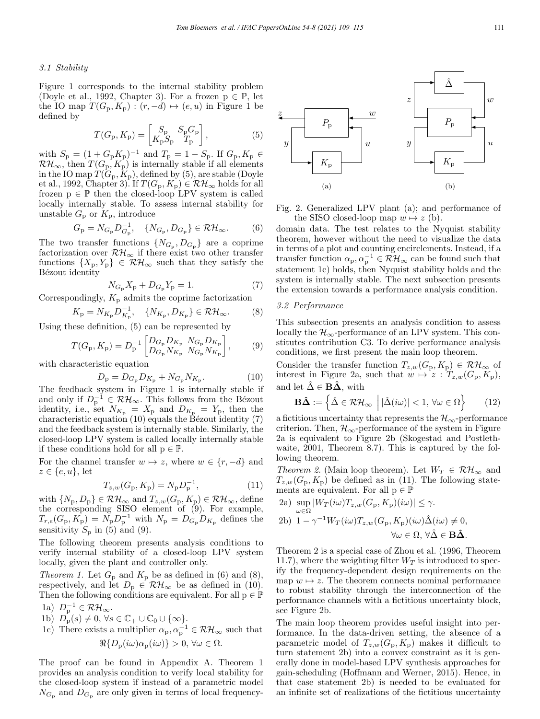## 3.1 Stability

Figure 1 corresponds to the internal stability problem (Doyle et al., 1992, Chapter 3). For a frozen  $p \in \mathbb{P}$ , let the IO map  $T(G_p, K_p) : (r, -d) \mapsto (e, u)$  in Figure 1 be defined by

$$
T(G_{\rm p}, K_{\rm p}) = \begin{bmatrix} S_{\rm p} & S_{\rm p} G_{\rm p} \\ K_{\rm p} S_{\rm p} & T_{\rm p} \end{bmatrix},
$$
 (5)

with  $S_p = (1 + G_p K_p)^{-1}$  and  $T_p = 1 - S_p$ . If  $G_p, K_p \in$  $\mathcal{RH}_{\infty}$ , then  $T(G_{\mathbf{p}}, K_{\mathbf{p}})$  is internally stable if all elements in the IO map  $T(\widetilde{G}_{p}, \widetilde{K}_{p})$ , defined by (5), are stable (Doyle et al., 1992, Chapter 3). If  $T(G_p, K_p) \in \mathcal{RH}_{\infty}$  holds for all frozen  $p \in \mathbb{P}$  then the closed-loop LPV system is called locally internally stable. To assess internal stability for unstable  $G_p$  or  $K_p$ , introduce

$$
G_{\rm p} = N_{G_{\rm p}} D_{G_{\rm p}}^{-1}, \quad \{N_{G_{\rm p}}, D_{G_{\rm p}}\} \in \mathcal{RH}_{\infty}.
$$
 (6)

The two transfer functions  $\{N_{G_p}, D_{G_p}\}\$ are a coprime factorization over  $\mathcal{RH}_{\infty}$  if there exist two other transfer functions  $\{X_p, Y_p\} \in \mathcal{RH}_{\infty}$  such that they satisfy the Bézout identity

$$
N_{G_{\rm p}} X_{\rm p} + D_{G_{\rm p}} Y_{\rm p} = 1. \tag{7}
$$

Correspondingly,  $K_p$  admits the coprime factorization

$$
K_{\rm p} = N_{K_{\rm p}} D_{K_{\rm p}}^{-1}, \quad \{N_{K_{\rm p}}, D_{K_{\rm p}}\} \in \mathcal{RH}_{\infty}.
$$
 (8)

Using these definition, (5) can be represented by

$$
T(G_{\rm p}, K_{\rm p}) = D_{\rm p}^{-1} \begin{bmatrix} D_{G_{\rm p}} D_{K_{\rm p}} & N_{G_{\rm p}} D_{K_{\rm p}} \\ D_{G_{\rm p}} N_{K_{\rm p}} & N_{G_{\rm p}} N_{K_{\rm p}} \end{bmatrix},\tag{9}
$$

with characteristic equation

$$
D_{\rm p} = D_{G_{\rm p}} D_{K_{\rm p}} + N_{G_{\rm p}} N_{K_{\rm p}}.\tag{10}
$$

The feedback system in Figure 1 is internally stable if and only if  $D_{\mathbf{p}}^{-1} \in \mathcal{RH}_{\infty}$ . This follows from the Bézout identity, i.e., set  $N_{K_{\rm p}} = X_{\rm p}$  and  $D_{K_{\rm p}} = Y_{\rm p}$ , then the characteristic equation  $(10)$  equals the Bézout identity  $(7)$ and the feedback system is internally stable. Similarly, the closed-loop LPV system is called locally internally stable if these conditions hold for all  $p \in \mathbb{P}$ .

For the channel transfer  $w \mapsto z$ , where  $w \in \{r, -d\}$  and  $z \in \{e, u\}$ , let

$$
T_{z,w}(G_{p}, K_{p}) = N_{p} D_{p}^{-1}, \qquad (11)
$$

with  $\{N_p, D_p\} \in \mathcal{RH}_{\infty}$  and  $T_{z,w}(G_p, K_p) \in \mathcal{RH}_{\infty}$ , define the corresponding SISO element of  $(9)$ . For example,  $T_{r,e}(G_p, K_p) = N_p D_p^{-1}$  with  $N_p = D_{G_p} D_{K_p}$  defines the sensitivity  $S_p$  in (5) and (9).

The following theorem presents analysis conditions to verify internal stability of a closed-loop LPV system locally, given the plant and controller only.

Theorem 1. Let  $G_p$  and  $K_p$  be as defined in (6) and (8), respectively, and let  $D_p \in \mathcal{RH}_{\infty}$  be as defined in (10). Then the following conditions are equivalent. For all  $p \in \mathbb{P}$ 1a)  $D_n^{-1} \in \mathcal{RH}_{\infty}$ .

1b) 
$$
D_p(s) \neq 0, \forall s \in \mathbb{C}_+ \cup \mathbb{C}_0 \cup \{\infty\}.
$$

1c) There exists a multiplier 
$$
\alpha_p, \alpha_p^{-1} \in \mathcal{RH}_{\infty}
$$
 such that  
 $\Re\{D_p(i\omega)\alpha_p(i\omega)\} > 0, \forall \omega \in \Omega.$ 

The proof can be found in Appendix A. Theorem 1 provides an analysis condition to verify local stability for the closed-loop system if instead of a parametric model  $N_{G_{\rm p}}$  and  $D_{G_{\rm p}}$  are only given in terms of local frequency-



Fig. 2. Generalized LPV plant (a); and performance of the SISO closed-loop map  $w \mapsto z$  (b).

domain data. The test relates to the Nyquist stability theorem, however without the need to visualize the data in terms of a plot and counting encirclements. Instead, if a transfer function  $\alpha_p, \alpha_p^{-1} \in \mathcal{RH}_{\infty}$  can be found such that statement 1c) holds, then Nyquist stability holds and the system is internally stable. The next subsection presents the extension towards a performance analysis condition.

#### 3.2 Performance

This subsection presents an analysis condition to assess locally the  $\mathcal{H}_{\infty}$ -performance of an LPV system. This constitutes contribution C3. To derive performance analysis conditions, we first present the main loop theorem.

Consider the transfer function  $T_{z,w}(G_p, K_p) \in \mathcal{RH}_{\infty}$  of interest in Figure 2a, such that  $w \mapsto z : T_{z,w}(G_{p}, K_{p}),$ and let  $\hat{\Delta} \in \mathbf{B}\hat{\mathbf{\Delta}}$ , with

$$
\mathbf{B}\hat{\mathbf{\Delta}} := \left\{ \hat{\Delta} \in \mathcal{RH}_{\infty} \; \left| \; |\hat{\Delta}(i\omega)| < 1, \, \forall \omega \in \Omega \right. \right\} \tag{12}
$$

a fictitious uncertainty that represents the  $\mathcal{H}_{\infty}$ -performance criterion. Then,  $\mathcal{H}_{\infty}$ -performance of the system in Figure 2a is equivalent to Figure 2b (Skogestad and Postlethwaite, 2001, Theorem 8.7). This is captured by the following theorem.

Theorem 2. (Main loop theorem). Let  $W_T \in \mathcal{RH}_{\infty}$  and  $T_{z,w}(G_{p}, K_{p})$  be defined as in (11). The following statements are equivalent. For all  $p \in \mathbb{P}$ 

2a) 
$$
\sup_{\omega \in \Omega} |W_T(i\omega)T_{z,w}(G_p, K_p)(i\omega)| \leq \gamma
$$
.  
\n2b)  $1 - \gamma^{-1} W_T(i\omega)T_{z,w}(G_p, K_p)(i\omega)\hat{\Delta}(i\omega) \neq 0$ ,  
\n $\forall \omega \in \Omega, \forall \hat{\Delta} \in \mathbf{B}\hat{\Delta}$ .

Theorem 2 is a special case of Zhou et al. (1996, Theorem 11.7), where the weighting filter  $W_T$  is introduced to specify the frequency-dependent design requirements on the map  $w \mapsto z$ . The theorem connects nominal performance to robust stability through the interconnection of the performance channels with a fictitious uncertainty block, see Figure 2b.

The main loop theorem provides useful insight into performance. In the data-driven setting, the absence of a parametric model of  $T_{z,w}(G_p, K_p)$  makes it difficult to turn statement 2b) into a convex constraint as it is generally done in model-based LPV synthesis approaches for gain-scheduling (Hoffmann and Werner, 2015). Hence, in that case statement 2b) is needed to be evaluated for an infinite set of realizations of the fictitious uncertainty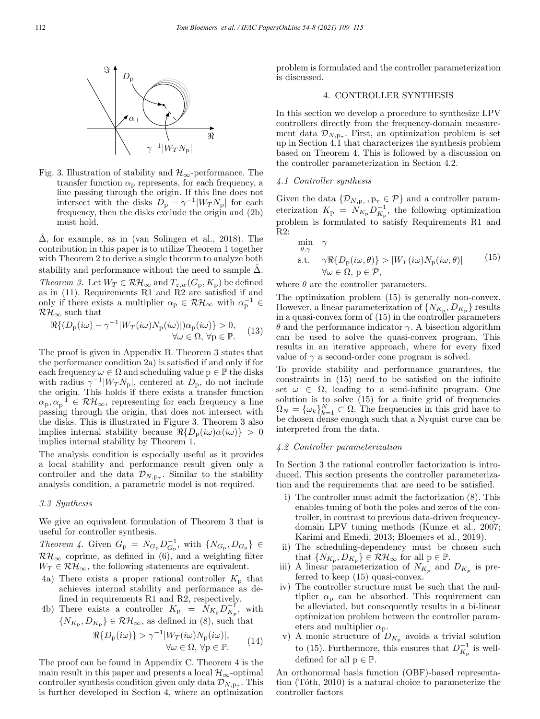

Fig. 3. Illustration of stability and  $\mathcal{H}_{\infty}$ -performance. The transfer function  $\alpha_p$  represents, for each frequency, a line passing through the origin. If this line does not intersect with the disks  $D_p - \gamma^{-1}|W_T N_p|$  for each frequency, then the disks exclude the origin and (2b) must hold.

 $\hat{\Delta}$ , for example, as in (van Solingen et al., 2018). The contribution in this paper is to utilize Theorem 1 together with Theorem 2 to derive a single theorem to analyze both stability and performance without the need to sample  $\Delta$ . Theorem 3. Let  $W_T \in \mathcal{RH}_{\infty}$  and  $T_{z,w}(G_p, K_p)$  be defined as in (11). Requirements R1 and R2 are satisfied if and only if there exists a multiplier  $\alpha_p \in \mathcal{RH}_{\infty}$  with  $\alpha_p^{-1} \in$  $\mathcal{RH}_{\infty}$  such that

$$
\Re\{(D_{\mathcal{P}}(i\omega) - \gamma^{-1}|W_T(i\omega)N_{\mathcal{P}}(i\omega)|)\alpha_{\mathcal{P}}(i\omega)\} > 0, \quad (13)
$$
  

$$
\forall \omega \in \Omega, \forall \mathcal{P} \in \mathbb{P}.
$$

The proof is given in Appendix B. Theorem 3 states that the performance condition 2a) is satisfied if and only if for each frequency  $\omega \in \Omega$  and scheduling value  $p \in \mathbb{P}$  the disks with radius  $\gamma^{-1}|W_T N_p|$ , centered at  $D_p$ , do not include the origin. This holds if there exists a transfer function  $\alpha_{\rm p}, \alpha_{\rm p}^{-1} \in \mathcal{RH}_{\infty}$ , representing for each frequency a line passing through the origin, that does not intersect with the disks. This is illustrated in Figure 3. Theorem 3 also implies internal stability because  $\Re\{D_p(i\omega)\alpha(i\omega)\} > 0$ implies internal stability by Theorem 1.

The analysis condition is especially useful as it provides a local stability and performance result given only a controller and the data  $\mathcal{D}_{N,p_{\tau}}$ . Similar to the stability analysis condition, a parametric model is not required.

## 3.3 Synthesis

We give an equivalent formulation of Theorem 3 that is useful for controller synthesis.

*Theorem 4.* Given  $G_{\rm p} = N_{G_{\rm p}} D_{G_{\rm p}}^{-1}$ , with  $\{N_{G_{\rm p}}, D_{G_{\rm p}}\} \in$  $\mathcal{RH}_{\infty}$  coprime, as defined in (6), and a weighting filter  $W_T \in \mathcal{RH}_{\infty},$  the following statements are equivalent.

4a) There exists a proper rational controller  $K_{\rm p}$  that achieves internal stability and performance as defined in requirements R1 and R2, respectively.

4b) There exists a controller 
$$
K_{\rm p} = \tilde{N}_{K_{\rm p}} D_{K_{\rm p}}^{-1}
$$
, with  $\{N_{K_{\rm p}}, D_{K_{\rm p}}\} \in \mathcal{RH}_{\infty}$ , as defined in (8), such that

$$
\Re\{D_{\mathcal{P}}(i\omega)\} > \gamma^{-1}|W_T(i\omega)N_{\mathcal{P}}(i\omega)|, \forall \omega \in \Omega, \forall \mathcal{P} \in \mathbb{P}.
$$
 (14)

The proof can be found in Appendix C. Theorem 4 is the main result in this paper and presents a local  $\mathcal{H}_{\infty}$ -optimal controller synthesis condition given only data  $\mathcal{D}_{N,p_{\tau}}$ . This is further developed in Section 4, where an optimization

problem is formulated and the controller parameterization is discussed.

## 4. CONTROLLER SYNTHESIS

In this section we develop a procedure to synthesize LPV controllers directly from the frequency-domain measurement data  $\mathcal{D}_{N,p_{\tau}}$ . First, an optimization problem is set up in Section 4.1 that characterizes the synthesis problem based on Theorem 4. This is followed by a discussion on the controller parameterization in Section 4.2.

## 4.1 Controller synthesis

Given the data  $\{\mathcal{D}_{N,p_{\tau}},p_{\tau}\in\mathcal{P}\}\$  and a controller parameterization  $K_{\rm p} = N_{K_{\rm p}} D_{K_{\rm p}}^{-1}$ , the following optimization problem is formulated to satisfy Requirements R1 and R2:

$$
\min_{\theta,\gamma} \quad \gamma
$$
\n
$$
\text{s.t.} \quad \gamma \Re\{D_{\mathbf{p}}(i\omega,\theta)\} > |W_T(i\omega)N_{\mathbf{p}}(i\omega,\theta)| \tag{15}
$$
\n
$$
\forall \omega \in \Omega, \, \mathbf{p} \in \mathcal{P},
$$

where  $\theta$  are the controller parameters.

The optimization problem (15) is generally non-convex. However, a linear parameterization of  $\{N_{K_p}, D_{K_p}\}\$ results in a quasi-convex form of (15) in the controller parameters θ and the performance indicator γ. A bisection algorithm can be used to solve the quasi-convex program. This results in an iterative approach, where for every fixed value of  $\gamma$  a second-order cone program is solved.

To provide stability and performance guarantees, the constraints in (15) need to be satisfied on the infinite set  $\omega \in \Omega$ , leading to a semi-infinite program. One solution is to solve (15) for a finite grid of frequencies  $\Omega_N = {\{\omega_k\}}_{k=1}^N \subset \Omega$ . The frequencies in this grid have to be chosen dense enough such that a Nyquist curve can be interpreted from the data.

## 4.2 Controller parameterization

In Section 3 the rational controller factorization is introduced. This section presents the controller parameterization and the requirements that are need to be satisfied.

- i) The controller must admit the factorization (8). This enables tuning of both the poles and zeros of the controller, in contrast to previous data-driven frequencydomain LPV tuning methods (Kunze et al., 2007; Karimi and Emedi, 2013; Bloemers et al., 2019).
- ii) The scheduling-dependency must be chosen such that  $\{N_{K_{\rm p}}, D_{K_{\rm p}}\} \in \mathcal{RH}_{\infty}$  for all  $p \in \mathbb{P}$ .
- iii) A linear parameterization of  $N_{K_p}$  and  $D_{K_p}$  is preferred to keep (15) quasi-convex.
- iv) The controller structure must be such that the multiplier  $\alpha_p$  can be absorbed. This requirement can be alleviated, but consequently results in a bi-linear optimization problem between the controller parameters and multiplier  $\alpha_{p}$ .
- v) A monic structure of  $D_{K_p}$  avoids a trivial solution to (15). Furthermore, this ensures that  $D_{K_{\rm p}}^{-1}$  is welldefined for all  $p \in \mathbb{P}$ .

An orthonormal basis function (OBF)-based representation  $(T<sub>óth</sub>, 2010)$  is a natural choice to parameterize the controller factors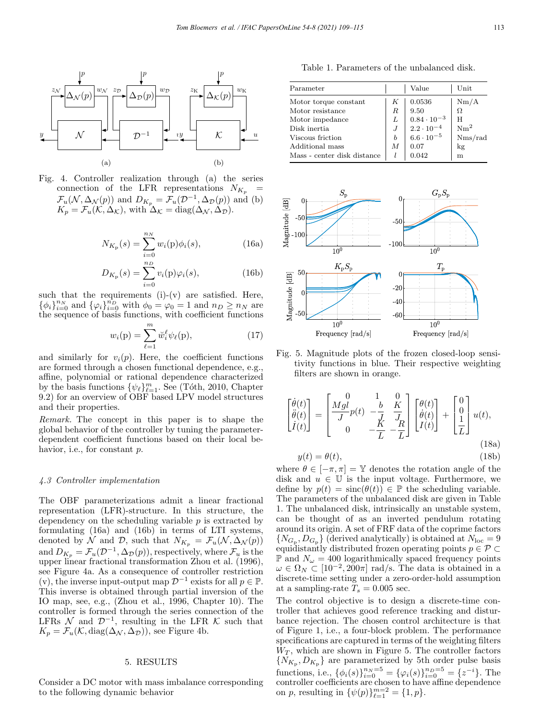

Fig. 4. Controller realization through (a) the series connection of the LFR representations  $N_{K_p}$  $\mathcal{F}_u(\mathcal{N}, \Delta_{\mathcal{N}}(p))$  and  $D_{K_p} = \mathcal{F}_u(D^{-1}, \Delta_{\mathcal{D}}(p))$  and (b)  $K_p = \mathcal{F}_u(\mathcal{K}, \Delta_{\mathcal{K}})$ , with  $\Delta_{\mathcal{K}} = \text{diag}(\Delta_{\mathcal{N}}, \Delta_{\mathcal{D}})$ .

$$
N_{K_{\mathbf{p}}}(s) = \sum_{i=0}^{n_N} w_i(\mathbf{p}) \phi_i(s), \tag{16a}
$$

$$
D_{K_{\rm p}}(s) = \sum_{i=0}^{n_D} v_i({\rm p})\varphi_i(s),
$$
 (16b)

such that the requirements  $(i)-(v)$  are satisfied. Here,  $\{\phi_i\}_{i=0}^{n_N}$  and  $\{\varphi_i\}_{i=0}^{n_D}$  with  $\phi_0 = \varphi_0 = 1$  and  $n_D \ge n_N$  are the sequence of basis functions, with coefficient functions

$$
w_i(\mathbf{p}) = \sum_{\ell=1}^m \breve{w}_i^{\ell} \psi_{\ell}(\mathbf{p}), \qquad (17)
$$

and similarly for  $v_i(p)$ . Here, the coefficient functions are formed through a chosen functional dependence, e.g., affine, polynomial or rational dependence characterized by the basis functions  $\{\psi_{\ell}\}_{\ell=1}^m$ . See (Tóth, 2010, Chapter 9.2) for an overview of OBF based LPV model structures and their properties.

Remark. The concept in this paper is to shape the global behavior of the controller by tuning the parameterdependent coefficient functions based on their local behavior, i.e., for constant p.

#### 4.3 Controller implementation

The OBF parameterizations admit a linear fractional representation (LFR)-structure. In this structure, the dependency on the scheduling variable  $p$  is extracted by formulating (16a) and (16b) in terms of LTI systems, denoted by N and D, such that  $N_{K_p} = \mathcal{F}_u(\mathcal{N}, \Delta_{\mathcal{N}}(p))$ and  $D_{K_p} = \mathcal{F}_u(\mathcal{D}^{-1}, \Delta_{\mathcal{D}}(p))$ , respectively, where  $\mathcal{F}_u$  is the upper linear fractional transformation Zhou et al. (1996), see Figure 4a. As a consequence of controller restriction (v), the inverse input-output map  $\mathcal{D}^{-1}$  exists for all  $p \in \mathbb{P}$ . This inverse is obtained through partial inversion of the IO map, see, e.g., (Zhou et al., 1996, Chapter 10). The controller is formed through the series connection of the LFRs  $\mathcal N$  and  $\mathcal D^{-1}$ , resulting in the LFR  $\mathcal K$  such that  $K_p = \mathcal{F}_u(\mathcal{K}, \text{diag}(\Delta_{\mathcal{N}}, \Delta_{\mathcal{D}}))$ , see Figure 4b.

## 5. RESULTS

Consider a DC motor with mass imbalance corresponding to the following dynamic behavior

Table 1. Parameters of the unbalanced disk.

| Parameter                   |   | Value                                          | Unit            |
|-----------------------------|---|------------------------------------------------|-----------------|
| Motor torque constant       | K | 0.0536                                         | Nm/A            |
| Motor resistance            | R | 9.50                                           | Ω               |
| Motor impedance             | L |                                                | H               |
| Disk inertia                |   | $\frac{0.84 \cdot 10^{-3}}{2.2 \cdot 10^{-4}}$ | Nm <sup>2</sup> |
| Viscous friction            | b | $6.6 \cdot 10^{-5}$                            | Nms/rad         |
| Additional mass             | M | 0.07                                           | kg              |
| Mass - center disk distance |   | 0.042                                          | m               |



Fig. 5. Magnitude plots of the frozen closed-loop sensitivity functions in blue. Their respective weighting filters are shown in orange.

$$
\begin{bmatrix}\n\dot{\theta}(t) \\
\ddot{\theta}(t) \\
\dot{I}(t)\n\end{bmatrix} = \begin{bmatrix}\n0 & 1 & 0 \\
Mgl & -\frac{b}{J} & \frac{K}{J} \\
0 & -\frac{K}{L} & -\frac{R}{L}\n\end{bmatrix} \begin{bmatrix}\n\theta(t) \\
\dot{\theta}(t) \\
I(t)\n\end{bmatrix} + \begin{bmatrix}\n0 \\
0 \\
\frac{1}{L}\n\end{bmatrix} u(t),
$$
\n(18a)

$$
y(t) = \theta(t),\tag{18b}
$$

where  $\theta \in [-\pi, \pi] = \mathbb{Y}$  denotes the rotation angle of the disk and  $u \in \mathbb{U}$  is the input voltage. Furthermore, we define by  $p(t) = \text{sinc}(\theta(t)) \in \mathbb{P}$  the scheduling variable. The parameters of the unbalanced disk are given in Table 1. The unbalanced disk, intrinsically an unstable system, can be thought of as an inverted pendulum rotating around its origin. A set of FRF data of the coprime factors  ${N_{G_p}, D_{G_p}}$  (derived analytically) is obtained at  $N_{loc} = 9$ equidistantly distributed frozen operating points  $p \in \mathcal{P} \subset$  $\mathbb P$  and  $N_\omega = 400$  logarithmically spaced frequency points  $\omega \in \Omega_N \subset [10^{-2}, 200\pi]$  rad/s. The data is obtained in a discrete-time setting under a zero-order-hold assumption at a sampling-rate  $T_s = 0.005$  sec.

The control objective is to design a discrete-time controller that achieves good reference tracking and disturbance rejection. The chosen control architecture is that of Figure 1, i.e., a four-block problem. The performance specifications are captured in terms of the weighting filters  $W_T$ , which are shown in Figure 5. The controller factors  ${N_{K_p}, D_{K_p}}$  are parameterized by 5th order pulse basis functions, i.e.,  $\{\phi_i(s)\}_{i=0}^{n_N=5} = \{\varphi_i(s)\}_{i=0}^{n_D=5} = \{z^{-i}\}\.$  The controller coefficients are chosen to have affine dependence on p, resulting in  $\{\psi(p)\}_{\ell=1}^{m=2} = \{1, p\}.$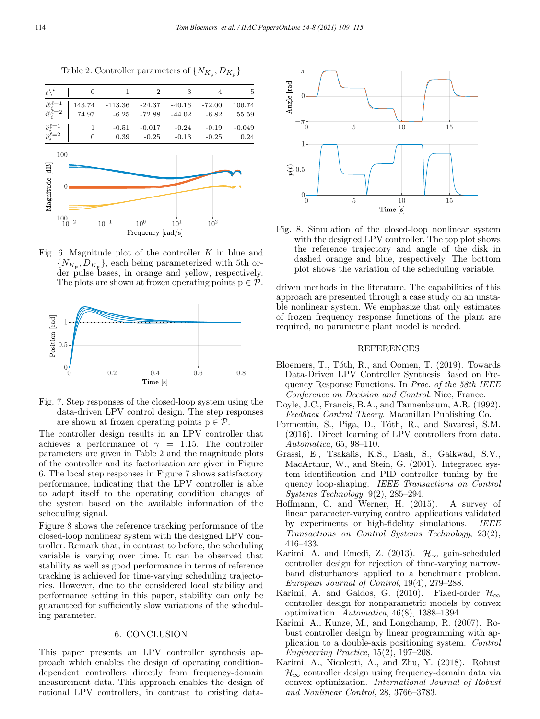

Table 2. Controller parameters of  $\{N_{K_p}, D_{K_p}\}$ 

Fig. 6. Magnitude plot of the controller  $K$  in blue and  ${N_{K_p}, D_{K_p}}$ , each being parameterized with 5th order pulse bases, in orange and yellow, respectively. The plots are shown at frozen operating points  $p \in \mathcal{P}$ .



Fig. 7. Step responses of the closed-loop system using the data-driven LPV control design. The step responses are shown at frozen operating points  $p \in \mathcal{P}$ .

The controller design results in an LPV controller that achieves a performance of  $\gamma = 1.15$ . The controller parameters are given in Table 2 and the magnitude plots of the controller and its factorization are given in Figure 6. The local step responses in Figure 7 shows satisfactory performance, indicating that the LPV controller is able to adapt itself to the operating condition changes of the system based on the available information of the scheduling signal.

Figure 8 shows the reference tracking performance of the closed-loop nonlinear system with the designed LPV controller. Remark that, in contrast to before, the scheduling variable is varying over time. It can be observed that stability as well as good performance in terms of reference tracking is achieved for time-varying scheduling trajectories. However, due to the considered local stability and performance setting in this paper, stability can only be guaranteed for sufficiently slow variations of the scheduling parameter.

## 6. CONCLUSION

This paper presents an LPV controller synthesis approach which enables the design of operating conditiondependent controllers directly from frequency-domain measurement data. This approach enables the design of rational LPV controllers, in contrast to existing data-



Fig. 8. Simulation of the closed-loop nonlinear system with the designed LPV controller. The top plot shows the reference trajectory and angle of the disk in dashed orange and blue, respectively. The bottom plot shows the variation of the scheduling variable.

driven methods in the literature. The capabilities of this approach are presented through a case study on an unstable nonlinear system. We emphasize that only estimates of frozen frequency response functions of the plant are required, no parametric plant model is needed.

### REFERENCES

- Bloemers, T., Tóth, R., and Oomen, T. (2019). Towards Data-Driven LPV Controller Synthesis Based on Frequency Response Functions. In Proc. of the 58th IEEE Conference on Decision and Control. Nice, France.
- Doyle, J.C., Francis, B.A., and Tannenbaum, A.R. (1992). Feedback Control Theory. Macmillan Publishing Co.
- Formentin, S., Piga, D., Tóth, R., and Savaresi, S.M. (2016). Direct learning of LPV controllers from data. Automatica, 65, 98–110.
- Grassi, E., Tsakalis, K.S., Dash, S., Gaikwad, S.V., MacArthur, W., and Stein, G. (2001). Integrated system identification and PID controller tuning by frequency loop-shaping. IEEE Transactions on Control Systems Technology, 9(2), 285–294.
- Hoffmann, C. and Werner, H. (2015). A survey of linear parameter-varying control applications validated by experiments or high-fidelity simulations. IEEE Transactions on Control Systems Technology, 23(2), 416–433.
- Karimi, A. and Emedi, Z. (2013).  $\mathcal{H}_{\infty}$  gain-scheduled controller design for rejection of time-varying narrowband disturbances applied to a benchmark problem. European Journal of Control, 19(4), 279–288.
- Karimi, A. and Galdos, G. (2010). Fixed-order  $\mathcal{H}_{\infty}$ controller design for nonparametric models by convex optimization. Automatica, 46(8), 1388–1394.
- Karimi, A., Kunze, M., and Longchamp, R. (2007). Robust controller design by linear programming with application to a double-axis positioning system. Control Engineering Practice, 15(2), 197–208.
- Karimi, A., Nicoletti, A., and Zhu, Y. (2018). Robust  $\mathcal{H}_{\infty}$  controller design using frequency-domain data via convex optimization. International Journal of Robust and Nonlinear Control, 28, 3766–3783.